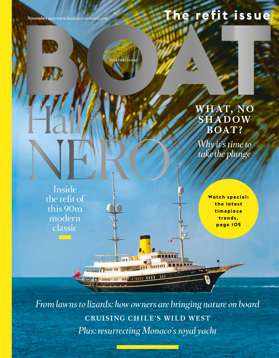**November 2017** www.boatinternational.com

International

# **The refit issue**

## **WHAT, NO SHADOW BOAT ?**

*Why it's time to take the plunge*

Inside the refit of this 90m modern classic NERO

144

 $\mathbf{A}$ 

**Watch special: t h e l a t e s t t i m e p i e c e trends, page 105**

*From lawns to lizards: how owners are bringing nature on board* **CRUISING CHILE'S WILD WEST** *Plus: resurrecting Monaco's royal yacht*

 $T$ lililili - H

**SEE JUNEAU AND TALL**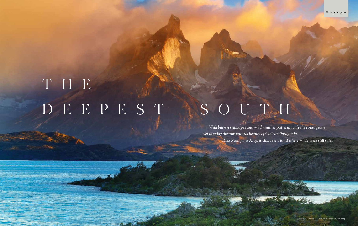# DEEPEST ISOUTH THE

 $-25.7$ 

 *With barren seascapes and wild weather patterns, only the courageous get to enjoy the raw natural beauty of Chilean Patagonia.* Risa Merl *joins* Argo *to discover a land where wilderness still rules*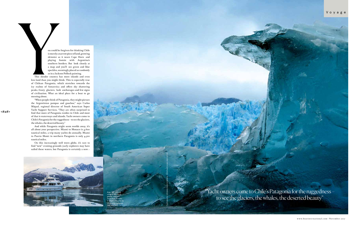ou could be forgiven for thinking Chile is merely a narrow piece of land, growing skinnier as it nears Cape Horn and playing footsie with Argentina's southern borders. But look closely at a map and you'll see green and blue speckles, seemingly placed as randomly as in a Jackson Pollock painting.

This slender country has more islands and even less land than you might think. This is especially true of Chilean Patagonia, which stretches towards the icy realms of Antarctica and offers sky shattering peaks, frosty glaciers, lush anchorages and few signs of civilisation. What an ideal place for a boat to go messing about.

On this increasingly well worn globe, it's rare to find "new" cruising grounds (early explorers may have sailed these waters, but Patagonia is certainly a new  $\blacktriangleright$ 



"Yacht owners come to Chile's Patagonia for the ruggedness – to see the glaciers, the whales, the deserted beauty"

"When people think of Patagonia, they might picture the Argentinian pampas and gauchos," says Carlos Miquel, regional director of South American Super Yacht Support Services. "They are often surprised to find that more of Patagonia resides in Chile and most of that is waterways and islands. Yacht owners come to Chile's Patagonia for the ruggedness – to see the glaciers, the whales, the deserted beauty."

And while Patagonia might seem worlds away, it's all about your perspective. Miami to Monaco is 4,600 nautical miles, a trip many yachts do annually. Miami to Puerto Montt in northern Patagonia is only 4,300 nautical miles.

Argo*, left, gets up close to the Pío XI glacier, which is more than 40 miles in length and grew by three miles between 1945 and 1976*

PHOTOGRAPHS: OPENING SPREAD 4CORNERS. THIS SPREAD ALAMY; ANDY ULITSKY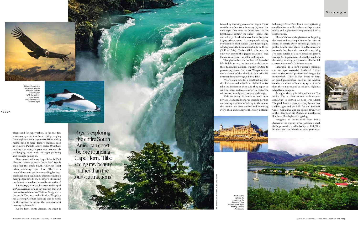framed by towering mountain ranges. There won't be another town for many days and the only signs that man has been here are the lighthouses dotting the shore – some thin and solitary, like the 16 metre Punta Porpoise Light; others squat, fat compounds taking over an entire bluff, such as Cabo Raper Light, which guards the treacherous Golfo de Penas (Gulf of Pain). "Before GPS, this was the only way around this jagged coastline," says Hawran as we sit at the helm, looking out.

Though desolate, the fjords aren't devoid of life. Dolphins race the boat and seals laze on their backs, fins akimbo, waiting for *Argo* to pass so they can surf our wake. We spot whales too, a cluster off the island of Isla Carlos III, near our first anchorage at Bahia Tilly.

We are alone save for a small fishing boat that has ventured miles from civilisation. We take the fishermen wine and they repay us with fresh fish and sea urchins. The rest of the trip we are the only boat in every anchorage.

With so many harbours to tuck into,

privacy is abundant and we quickly develop an evening tradition of taking to the tender the minute we drop anchor and exploring every nook and cranny of the vastly different hideaways. Seno Pico Paico is a captivating combination – a wide harbour with protected nooks and a gloriously long waterfall at its southern end.

Most of the anchoring is stern-to, dropping the hook and securing a line to the trees on shore. In nearly every anchorage, there are pebble beaches and places to pull ashore, and we study the plants that are unlike anything I've seen outside of a rare botanical garden, strange flat-topped trees shaped by wind and the native monkey puzzle trees – all of which are reminiscent of a Dr Seuss cartoon.

*Argo* is exploring the entire South American coast before rounding Cape Horn. "I like seeing raw beauty rather than the tourist attractions'

Patagonia is a bird-watcher's paradise and we spot colourful feathered friends such as the Austral parakeet and long-tailed meadowlark. Chile is also home to birds of grand proportions, such as the Andean condor, a vulture with a wing span of more than three metres, and to the cute, flightless Magellanic penguin.

At night, the sky is thick with stars. The Milky Way is clear to see, with nebulas appearing to deepen as your eyes adjust. The pitch black is disrupted only by our own anchor light and we look for the Southern Cross, Centaurus and an upside-down view of the Plough, or Big Dipper, all novelties of Southern Hemisphere stargazing.





*Chilean Patagonia's attractions include the Salto Grande waterfall, far right, the Andean condor, above, and Commerson's dolphins, right*

playground for superyachts). In the past few years, more yachts have been visiting, ranging from explorers such as 50 metre *Triton* and 49 metre *Plan B* to more demure sailboats such as 37 metre *Pumula* and 53 metre *Drumbeat*, proving that nearly anyone can take on this challenging route with the right planning and enough gumption.



One owner with such qualities is Paul Hawran, whose 27 metre Outer Reef *Argo* is exploring the entire South American coast before rounding Cape Horn. "There is a peacefulness you get here travelling by boat, combined with exploring somewhere not too many people have been," he says. "I like seeing raw beauty rather than the tourist attractions."

I meet *Argo*, Hawran, his crew and Miquel at Punta Arenas for a 10 day journey that will take us from the south of Chilean Patagonia to the north. The port on the Strait of Magellan has a strong German heritage and is home to the Austral brewery, the southernmost brewery in the world.

As we leave Punta Arenas, the strait is

<#a#>